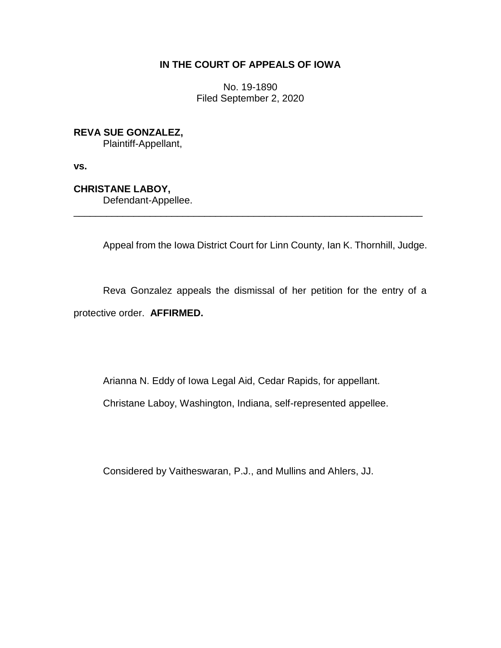## **IN THE COURT OF APPEALS OF IOWA**

No. 19-1890 Filed September 2, 2020

**REVA SUE GONZALEZ,**

Plaintiff-Appellant,

**vs.**

**CHRISTANE LABOY,**

Defendant-Appellee.

Appeal from the Iowa District Court for Linn County, Ian K. Thornhill, Judge.

Reva Gonzalez appeals the dismissal of her petition for the entry of a protective order. **AFFIRMED.** 

\_\_\_\_\_\_\_\_\_\_\_\_\_\_\_\_\_\_\_\_\_\_\_\_\_\_\_\_\_\_\_\_\_\_\_\_\_\_\_\_\_\_\_\_\_\_\_\_\_\_\_\_\_\_\_\_\_\_\_\_\_\_\_\_

Arianna N. Eddy of Iowa Legal Aid, Cedar Rapids, for appellant.

Christane Laboy, Washington, Indiana, self-represented appellee.

Considered by Vaitheswaran, P.J., and Mullins and Ahlers, JJ.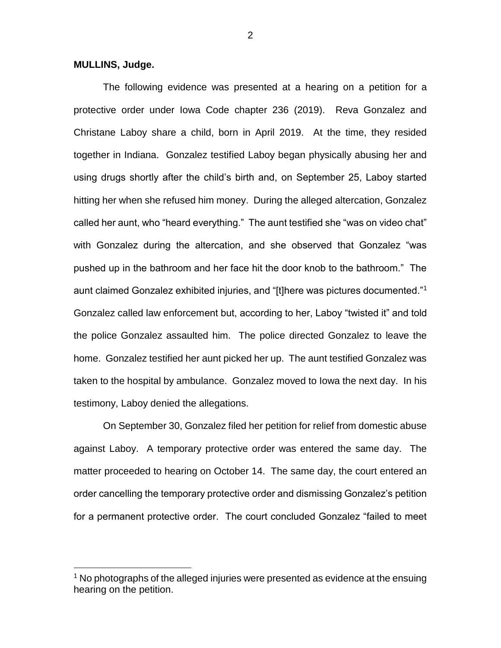## **MULLINS, Judge.**

 $\overline{a}$ 

The following evidence was presented at a hearing on a petition for a protective order under Iowa Code chapter 236 (2019). Reva Gonzalez and Christane Laboy share a child, born in April 2019. At the time, they resided together in Indiana. Gonzalez testified Laboy began physically abusing her and using drugs shortly after the child's birth and, on September 25, Laboy started hitting her when she refused him money. During the alleged altercation, Gonzalez called her aunt, who "heard everything." The aunt testified she "was on video chat" with Gonzalez during the altercation, and she observed that Gonzalez "was pushed up in the bathroom and her face hit the door knob to the bathroom." The aunt claimed Gonzalez exhibited injuries, and "[t]here was pictures documented."<sup>1</sup> Gonzalez called law enforcement but, according to her, Laboy "twisted it" and told the police Gonzalez assaulted him. The police directed Gonzalez to leave the home. Gonzalez testified her aunt picked her up. The aunt testified Gonzalez was taken to the hospital by ambulance. Gonzalez moved to Iowa the next day. In his testimony, Laboy denied the allegations.

On September 30, Gonzalez filed her petition for relief from domestic abuse against Laboy. A temporary protective order was entered the same day. The matter proceeded to hearing on October 14. The same day, the court entered an order cancelling the temporary protective order and dismissing Gonzalez's petition for a permanent protective order. The court concluded Gonzalez "failed to meet

 $1$  No photographs of the alleged injuries were presented as evidence at the ensuing hearing on the petition.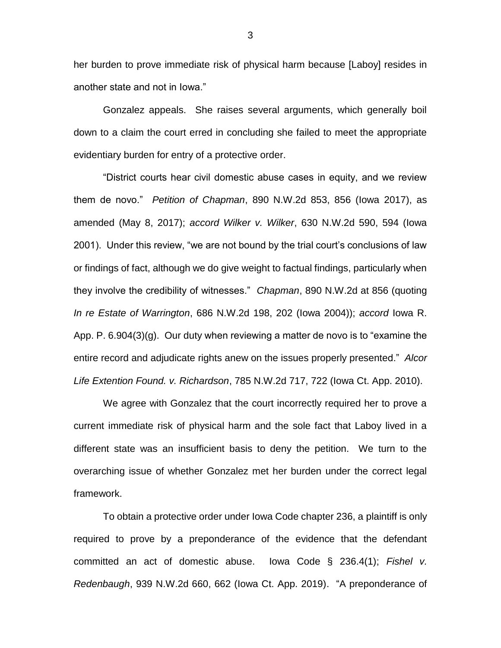her burden to prove immediate risk of physical harm because [Laboy] resides in another state and not in Iowa."

Gonzalez appeals. She raises several arguments, which generally boil down to a claim the court erred in concluding she failed to meet the appropriate evidentiary burden for entry of a protective order.

"District courts hear civil domestic abuse cases in equity, and we review them de novo." *Petition of Chapman*, 890 N.W.2d 853, 856 (Iowa 2017), as amended (May 8, 2017); *accord Wilker v. Wilker*, 630 N.W.2d 590, 594 (Iowa 2001). Under this review, "we are not bound by the trial court's conclusions of law or findings of fact, although we do give weight to factual findings, particularly when they involve the credibility of witnesses." *Chapman*, 890 N.W.2d at 856 (quoting *In re Estate of Warrington*, 686 N.W.2d 198, 202 (Iowa 2004)); *accord* Iowa R. App. P. 6.904(3)(g). Our duty when reviewing a matter de novo is to "examine the entire record and adjudicate rights anew on the issues properly presented." *Alcor Life Extention Found. v. Richardson*, 785 N.W.2d 717, 722 (Iowa Ct. App. 2010).

We agree with Gonzalez that the court incorrectly required her to prove a current immediate risk of physical harm and the sole fact that Laboy lived in a different state was an insufficient basis to deny the petition. We turn to the overarching issue of whether Gonzalez met her burden under the correct legal framework.

To obtain a protective order under Iowa Code chapter 236, a plaintiff is only required to prove by a preponderance of the evidence that the defendant committed an act of domestic abuse. Iowa Code § 236.4(1); *Fishel v. Redenbaugh*, 939 N.W.2d 660, 662 (Iowa Ct. App. 2019). "A preponderance of